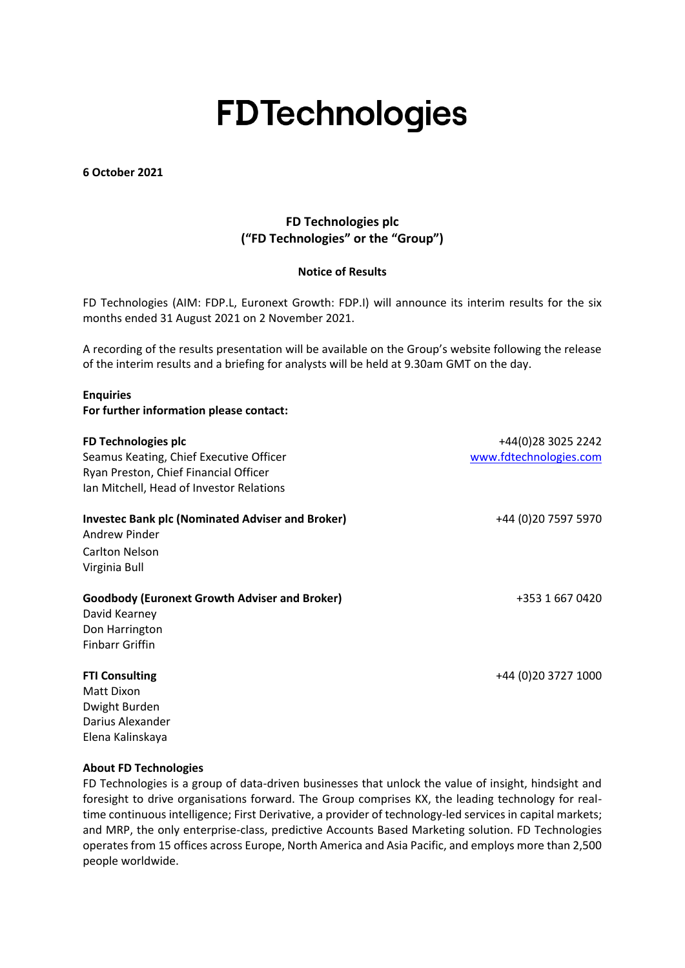# **FDTechnologies**

**6 October 2021**

## **FD Technologies plc ("FD Technologies" or the "Group")**

### **Notice of Results**

FD Technologies (AIM: FDP.L, Euronext Growth: FDP.I) will announce its interim results for the six months ended 31 August 2021 on 2 November 2021.

A recording of the results presentation will be available on the Group's website following the release of the interim results and a briefing for analysts will be held at 9.30am GMT on the day.

### **Enquiries**

**For further information please contact:**

| FD Technologies plc<br>Seamus Keating, Chief Executive Officer<br>Ryan Preston, Chief Financial Officer<br>Ian Mitchell, Head of Investor Relations | +44(0)28 3025 2242<br>www.fdtechnologies.com |
|-----------------------------------------------------------------------------------------------------------------------------------------------------|----------------------------------------------|
| <b>Investec Bank plc (Nominated Adviser and Broker)</b><br>Andrew Pinder                                                                            | +44 (0)20 7597 5970                          |
| Carlton Nelson<br>Virginia Bull                                                                                                                     |                                              |
| <b>Goodbody (Euronext Growth Adviser and Broker)</b><br>David Kearney<br>Don Harrington                                                             | +353 1 667 0420                              |

Finbarr Griffin

### **FTI Consulting** +44 (0)20 3727 1000

Matt Dixon Dwight Burden Darius Alexander Elena Kalinskaya

#### **About FD Technologies**

FD Technologies is a group of data-driven businesses that unlock the value of insight, hindsight and foresight to drive organisations forward. The Group comprises KX, the leading technology for realtime continuous intelligence; First Derivative, a provider of technology-led services in capital markets; and MRP, the only enterprise-class, predictive Accounts Based Marketing solution. FD Technologies operates from 15 offices across Europe, North America and Asia Pacific, and employs more than 2,500 people worldwide.